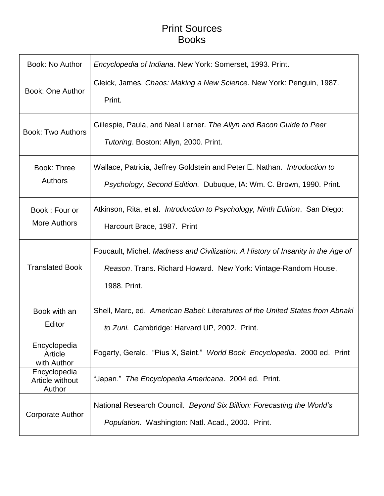## Print Sources Books

| Book: No Author                           | Encyclopedia of Indiana. New York: Somerset, 1993. Print.                                                                                                         |
|-------------------------------------------|-------------------------------------------------------------------------------------------------------------------------------------------------------------------|
| <b>Book: One Author</b>                   | Gleick, James. Chaos: Making a New Science. New York: Penguin, 1987.<br>Print.                                                                                    |
| <b>Book: Two Authors</b>                  | Gillespie, Paula, and Neal Lerner. The Allyn and Bacon Guide to Peer<br>Tutoring. Boston: Allyn, 2000. Print.                                                     |
| <b>Book: Three</b><br><b>Authors</b>      | Wallace, Patricia, Jeffrey Goldstein and Peter E. Nathan. <i>Introduction to</i><br>Psychology, Second Edition. Dubuque, IA: Wm. C. Brown, 1990. Print.           |
| Book: Four or<br><b>More Authors</b>      | Atkinson, Rita, et al. <i>Introduction to Psychology, Ninth Edition</i> . San Diego:<br>Harcourt Brace, 1987. Print                                               |
| <b>Translated Book</b>                    | Foucault, Michel. Madness and Civilization: A History of Insanity in the Age of<br>Reason. Trans. Richard Howard. New York: Vintage-Random House,<br>1988. Print. |
| Book with an<br>Editor                    | Shell, Marc, ed. American Babel: Literatures of the United States from Abnaki<br>to Zuni. Cambridge: Harvard UP, 2002. Print.                                     |
| Encyclopedia<br>Article<br>with Author    | Fogarty, Gerald. "Pius X, Saint." World Book Encyclopedia. 2000 ed. Print                                                                                         |
| Encyclopedia<br>Article without<br>Author | "Japan." The Encyclopedia Americana. 2004 ed. Print.                                                                                                              |
| <b>Corporate Author</b>                   | National Research Council. Beyond Six Billion: Forecasting the World's<br>Population. Washington: Natl. Acad., 2000. Print.                                       |